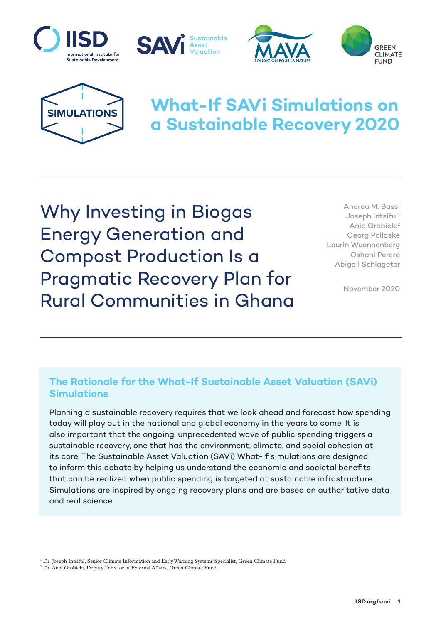







# **What-If SAVi Simulations on a Sustainable Recovery 2020**

Why Investing in Biogas Energy Generation and Compost Production Is a Pragmatic Recovery Plan for Rural Communities in Ghana

Andrea M. Bassi Joseph Intsiful<sup>1</sup> Ania Grobicki2 Georg Pallaske Laurin Wuennenberg Oshani Perera Abigail Schlageter

November 2020

## **The Rationale for the What-If Sustainable Asset Valuation (SAVi) Simulations**

Planning a sustainable recovery requires that we look ahead and forecast how spending today will play out in the national and global economy in the years to come. It is also important that the ongoing, unprecedented wave of public spending triggers a sustainable recovery, one that has the environment, climate, and social cohesion at its core. The Sustainable Asset Valuation (SAVi) What-If simulations are designed to inform this debate by helping us understand the economic and societal benefits that can be realized when public spending is targeted at sustainable infrastructure. Simulations are inspired by ongoing recovery plans and are based on authoritative data and real science.

1 Dr. Joseph Intsiful, Senior Climate Information and Early Warning Systems Specialist, Green Climate Fund

2 Dr. Ania Grobicki, Deputy Director of External Affairs, Green Climate Fund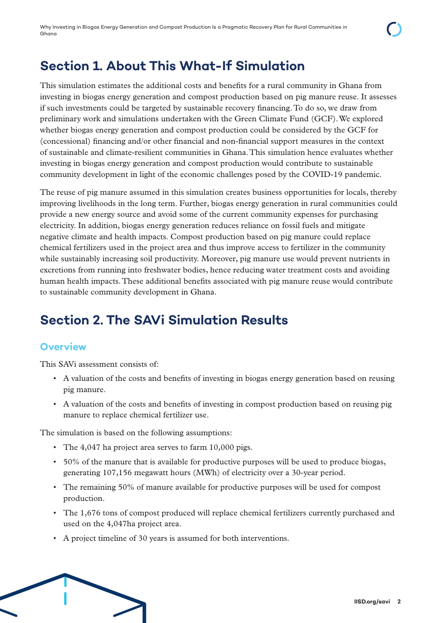# **Section 1. About This What-If Simulation**

This simulation estimates the additional costs and benefits for a rural community in Ghana from investing in biogas energy generation and compost production based on pig manure reuse. It assesses if such investments could be targeted by sustainable recovery financing. To do so, we draw from preliminary work and simulations undertaken with the Green Climate Fund (GCF). We explored whether biogas energy generation and compost production could be considered by the GCF for (concessional) financing and/or other financial and non-financial support measures in the context of sustainable and climate-resilient communities in Ghana. This simulation hence evaluates whether investing in biogas energy generation and compost production would contribute to sustainable community development in light of the economic challenges posed by the COVID-19 pandemic.

The reuse of pig manure assumed in this simulation creates business opportunities for locals, thereby improving livelihoods in the long term. Further, biogas energy generation in rural communities could provide a new energy source and avoid some of the current community expenses for purchasing electricity. In addition, biogas energy generation reduces reliance on fossil fuels and mitigate negative climate and health impacts. Compost production based on pig manure could replace chemical fertilizers used in the project area and thus improve access to fertilizer in the community while sustainably increasing soil productivity. Moreover, pig manure use would prevent nutrients in excretions from running into freshwater bodies, hence reducing water treatment costs and avoiding human health impacts. These additional benefits associated with pig manure reuse would contribute to sustainable community development in Ghana.

# **Section 2. The SAVi Simulation Results**

# **Overview**

This SAVi assessment consists of:

- A valuation of the costs and benefits of investing in biogas energy generation based on reusing pig manure.
- A valuation of the costs and benefits of investing in compost production based on reusing pig manure to replace chemical fertilizer use.

The simulation is based on the following assumptions:

- The 4,047 ha project area serves to farm 10,000 pigs.
- 50% of the manure that is available for productive purposes will be used to produce biogas, generating 107,156 megawatt hours (MWh) of electricity over a 30-year period.
- The remaining 50% of manure available for productive purposes will be used for compost production.
- The 1,676 tons of compost produced will replace chemical fertilizers currently purchased and used on the 4,047ha project area.
- A project timeline of 30 years is assumed for both interventions.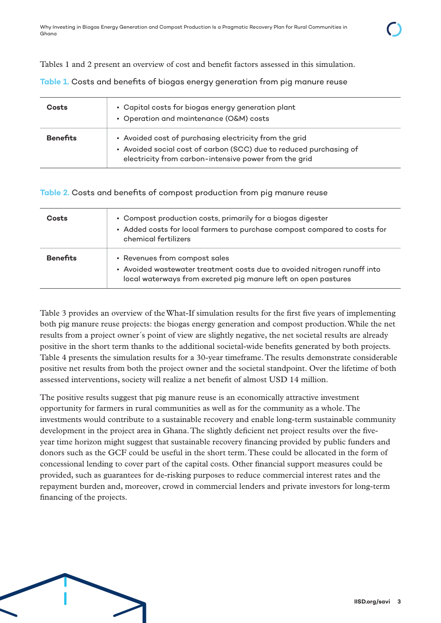Tables 1 and 2 present an overview of cost and benefit factors assessed in this simulation.

**Table 1.** Costs and benefits of biogas energy generation from pig manure reuse

| <b>Costs</b>    | • Capital costs for biogas energy generation plant<br>• Operation and maintenance (O&M) costs                                                                                         |
|-----------------|---------------------------------------------------------------------------------------------------------------------------------------------------------------------------------------|
| <b>Benefits</b> | • Avoided cost of purchasing electricity from the grid<br>• Avoided social cost of carbon (SCC) due to reduced purchasing of<br>electricity from carbon-intensive power from the grid |

**Table 2.** Costs and benefits of compost production from pig manure reuse

| <b>Costs</b>    | • Compost production costs, primarily for a biogas digester<br>• Added costs for local farmers to purchase compost compared to costs for<br>chemical fertilizers            |
|-----------------|-----------------------------------------------------------------------------------------------------------------------------------------------------------------------------|
| <b>Benefits</b> | • Revenues from compost sales<br>• Avoided wastewater treatment costs due to avoided nitrogen runoff into<br>local waterways from excreted pig manure left on open pastures |

Table 3 provides an overview of the What-If simulation results for the first five years of implementing both pig manure reuse projects: the biogas energy generation and compost production. While the net results from a project owner´s point of view are slightly negative, the net societal results are already positive in the short term thanks to the additional societal-wide benefits generated by both projects. Table 4 presents the simulation results for a 30-year timeframe. The results demonstrate considerable positive net results from both the project owner and the societal standpoint. Over the lifetime of both assessed interventions, society will realize a net benefit of almost USD 14 million.

The positive results suggest that pig manure reuse is an economically attractive investment opportunity for farmers in rural communities as well as for the community as a whole. The investments would contribute to a sustainable recovery and enable long-term sustainable community development in the project area in Ghana. The slightly deficient net project results over the fiveyear time horizon might suggest that sustainable recovery financing provided by public funders and donors such as the GCF could be useful in the short term. These could be allocated in the form of concessional lending to cover part of the capital costs. Other financial support measures could be provided, such as guarantees for de-risking purposes to reduce commercial interest rates and the repayment burden and, moreover, crowd in commercial lenders and private investors for long-term financing of the projects.

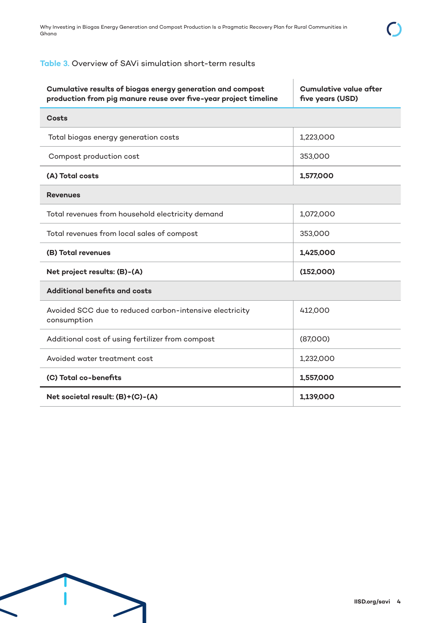| Cumulative results of biogas energy generation and compost<br>production from pig manure reuse over five-year project timeline | <b>Cumulative value after</b><br>five years (USD) |
|--------------------------------------------------------------------------------------------------------------------------------|---------------------------------------------------|
| <b>Costs</b>                                                                                                                   |                                                   |
| Total biogas energy generation costs                                                                                           | 1,223,000                                         |
| Compost production cost                                                                                                        | 353,000                                           |
| (A) Total costs                                                                                                                | 1,577,000                                         |
| <b>Revenues</b>                                                                                                                |                                                   |
| Total revenues from household electricity demand                                                                               | 1,072,000                                         |
| Total revenues from local sales of compost                                                                                     | 353,000                                           |
| (B) Total revenues                                                                                                             | 1,425,000                                         |
| Net project results: (B)-(A)                                                                                                   | (152,000)                                         |
| <b>Additional benefits and costs</b>                                                                                           |                                                   |
| Avoided SCC due to reduced carbon-intensive electricity<br>consumption                                                         | 412,000                                           |
| Additional cost of using fertilizer from compost                                                                               | (87,000)                                          |
| Avoided water treatment cost                                                                                                   | 1,232,000                                         |
| (C) Total co-benefits                                                                                                          | 1,557,000                                         |
| Net societal result: (B)+(C)-(A)                                                                                               | 1,139,000                                         |

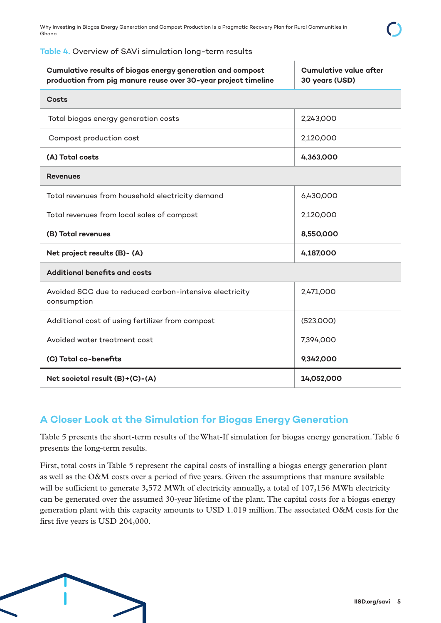#### **Table 4.** Overview of SAVi simulation long-term results

| Cumulative results of biogas energy generation and compost<br>production from pig manure reuse over 30-year project timeline | <b>Cumulative value after</b><br>30 years (USD) |
|------------------------------------------------------------------------------------------------------------------------------|-------------------------------------------------|
| Costs                                                                                                                        |                                                 |
| Total biogas energy generation costs                                                                                         | 2,243,000                                       |
| Compost production cost                                                                                                      | 2,120,000                                       |
| (A) Total costs                                                                                                              | 4,363,000                                       |
| <b>Revenues</b>                                                                                                              |                                                 |
| Total revenues from household electricity demand                                                                             | 6,430,000                                       |
| Total revenues from local sales of compost                                                                                   | 2,120,000                                       |
| (B) Total revenues                                                                                                           | 8,550,000                                       |
| Net project results (B)- (A)                                                                                                 | 4,187,000                                       |
| <b>Additional benefits and costs</b>                                                                                         |                                                 |
| Avoided SCC due to reduced carbon-intensive electricity<br>consumption                                                       | 2,471,000                                       |
| Additional cost of using fertilizer from compost                                                                             | (523,000)                                       |
| Avoided water treatment cost                                                                                                 | 7,394,000                                       |
| (C) Total co-benefits                                                                                                        | 9,342,000                                       |
| Net societal result (B)+(C)-(A)                                                                                              | 14,052,000                                      |

## **A Closer Look at the Simulation for Biogas Energy Generation**

Table 5 presents the short-term results of the What-If simulation for biogas energy generation. Table 6 presents the long-term results.

First, total costs in Table 5 represent the capital costs of installing a biogas energy generation plant as well as the O&M costs over a period of five years. Given the assumptions that manure available will be sufficient to generate 3,572 MWh of electricity annually, a total of 107,156 MWh electricity can be generated over the assumed 30-year lifetime of the plant. The capital costs for a biogas energy generation plant with this capacity amounts to USD 1.019 million. The associated O&M costs for the first five years is USD 204,000.

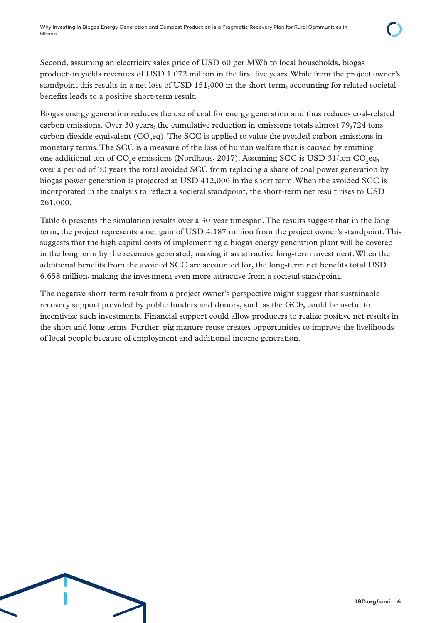Second, assuming an electricity sales price of USD 60 per MWh to local households, biogas production yields revenues of USD 1.072 million in the first five years. While from the project owner's standpoint this results in a net loss of USD 151,000 in the short term, accounting for related societal benefits leads to a positive short-term result.

Biogas energy generation reduces the use of coal for energy generation and thus reduces coal-related carbon emissions. Over 30 years, the cumulative reduction in emissions totals almost 79,724 tons carbon dioxide equivalent  $(CO_2$ eq). The SCC is applied to value the avoided carbon emissions in monetary terms. The SCC is a measure of the loss of human welfare that is caused by emitting one additional ton of  $CO_2$ e emissions (Nordhaus, 2017). Assuming SCC is USD 31/ton  $CO_2$ eq, over a period of 30 years the total avoided SCC from replacing a share of coal power generation by biogas power generation is projected at USD 412,000 in the short term. When the avoided SCC is incorporated in the analysis to reflect a societal standpoint, the short-term net result rises to USD 261,000.

Table 6 presents the simulation results over a 30-year timespan. The results suggest that in the long term, the project represents a net gain of USD 4.187 million from the project owner's standpoint. This suggests that the high capital costs of implementing a biogas energy generation plant will be covered in the long term by the revenues generated, making it an attractive long-term investment. When the additional benefits from the avoided SCC are accounted for, the long-term net benefits total USD 6.658 million, making the investment even more attractive from a societal standpoint.

The negative short-term result from a project owner's perspective might suggest that sustainable recovery support provided by public funders and donors, such as the GCF, could be useful to incentivize such investments. Financial support could allow producers to realize positive net results in the short and long terms. Further, pig manure reuse creates opportunities to improve the livelihoods of local people because of employment and additional income generation.

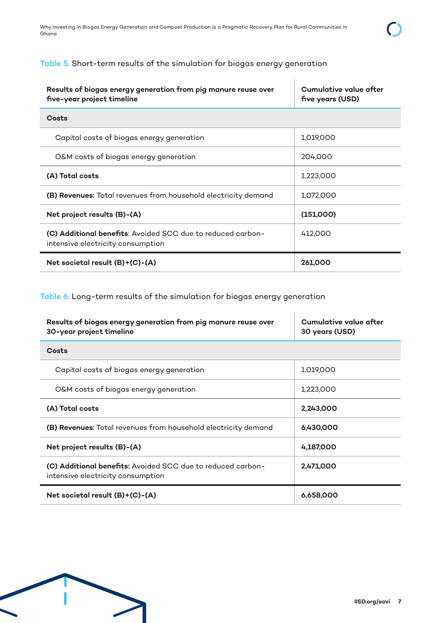### **Table 5.** Short-term results of the simulation for biogas energy generation

| Results of biogas energy generation from pig manure reuse over<br>five-year project timeline            | Cumulative value after<br>five years (USD) |
|---------------------------------------------------------------------------------------------------------|--------------------------------------------|
| Costs                                                                                                   |                                            |
| Capital costs of biogas energy generation                                                               | 1,019,000                                  |
| O&M costs of biogas energy generation                                                                   | 204,000                                    |
| (A) Total costs                                                                                         | 1,223,000                                  |
| (B) Revenues: Total revenues from household electricity demand                                          | 1,072,000                                  |
| Net project results (B)-(A)                                                                             | (151,000)                                  |
| <b>(C) Additional benefits:</b> Avoided SCC due to reduced carbon-<br>intensive electricity consumption | 412,000                                    |
| Net societal result $(B)+(C)-(A)$                                                                       | 261,000                                    |

**Table 6.** Long-term results of the simulation for biogas energy generation

| Results of biogas energy generation from pig manure reuse over<br>30-year project timeline              | Cumulative value after<br>30 years (USD) |
|---------------------------------------------------------------------------------------------------------|------------------------------------------|
| Costs                                                                                                   |                                          |
| Capital costs of biogas energy generation                                                               | 1,019,000                                |
| O&M costs of biogas energy generation                                                                   | 1,223,000                                |
| (A) Total costs                                                                                         | 2,243,000                                |
| (B) Revenues: Total revenues from household electricity demand                                          | 6,430,000                                |
| Net project results (B)-(A)                                                                             | 4,187,000                                |
| <b>(C) Additional benefits:</b> Avoided SCC due to reduced carbon-<br>intensive electricity consumption | 2,471,000                                |
| Net societal result (B)+(C)-(A)                                                                         | 6,658,000                                |

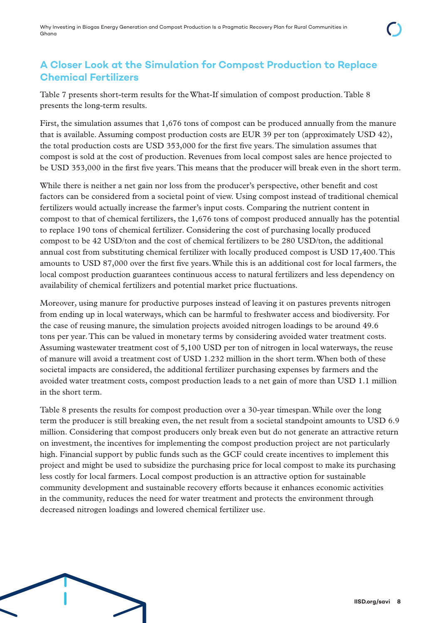## **A Closer Look at the Simulation for Compost Production to Replace Chemical Fertilizers**

Table 7 presents short-term results for the What-If simulation of compost production. Table 8 presents the long-term results.

First, the simulation assumes that 1,676 tons of compost can be produced annually from the manure that is available. Assuming compost production costs are EUR 39 per ton (approximately USD 42), the total production costs are USD 353,000 for the first five years. The simulation assumes that compost is sold at the cost of production. Revenues from local compost sales are hence projected to be USD 353,000 in the first five years. This means that the producer will break even in the short term.

While there is neither a net gain nor loss from the producer's perspective, other benefit and cost factors can be considered from a societal point of view. Using compost instead of traditional chemical fertilizers would actually increase the farmer's input costs. Comparing the nutrient content in compost to that of chemical fertilizers, the 1,676 tons of compost produced annually has the potential to replace 190 tons of chemical fertilizer. Considering the cost of purchasing locally produced compost to be 42 USD/ton and the cost of chemical fertilizers to be 280 USD/ton, the additional annual cost from substituting chemical fertilizer with locally produced compost is USD 17,400. This amounts to USD 87,000 over the first five years. While this is an additional cost for local farmers, the local compost production guarantees continuous access to natural fertilizers and less dependency on availability of chemical fertilizers and potential market price fluctuations.

Moreover, using manure for productive purposes instead of leaving it on pastures prevents nitrogen from ending up in local waterways, which can be harmful to freshwater access and biodiversity. For the case of reusing manure, the simulation projects avoided nitrogen loadings to be around 49.6 tons per year. This can be valued in monetary terms by considering avoided water treatment costs. Assuming wastewater treatment cost of 5,100 USD per ton of nitrogen in local waterways, the reuse of manure will avoid a treatment cost of USD 1.232 million in the short term. When both of these societal impacts are considered, the additional fertilizer purchasing expenses by farmers and the avoided water treatment costs, compost production leads to a net gain of more than USD 1.1 million in the short term.

Table 8 presents the results for compost production over a 30-year timespan. While over the long term the producer is still breaking even, the net result from a societal standpoint amounts to USD 6.9 million. Considering that compost producers only break even but do not generate an attractive return on investment, the incentives for implementing the compost production project are not particularly high. Financial support by public funds such as the GCF could create incentives to implement this project and might be used to subsidize the purchasing price for local compost to make its purchasing less costly for local farmers. Local compost production is an attractive option for sustainable community development and sustainable recovery efforts because it enhances economic activities in the community, reduces the need for water treatment and protects the environment through decreased nitrogen loadings and lowered chemical fertilizer use.

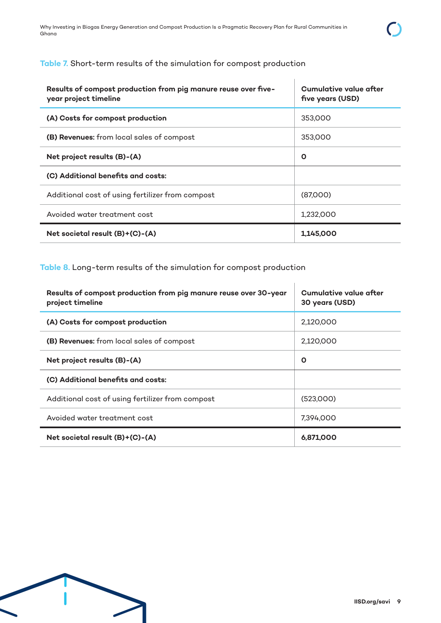### **Table 7.** Short-term results of the simulation for compost production

| Results of compost production from pig manure reuse over five-<br>year project timeline | Cumulative value after<br>five years (USD) |  |
|-----------------------------------------------------------------------------------------|--------------------------------------------|--|
| (A) Costs for compost production                                                        | 353,000                                    |  |
| (B) Revenues: from local sales of compost                                               | 353,000                                    |  |
| Net project results (B)-(A)                                                             | O                                          |  |
| (C) Additional benefits and costs:                                                      |                                            |  |
| Additional cost of using fertilizer from compost                                        | (87,000)                                   |  |
| Avoided water treatment cost                                                            | 1,232,000                                  |  |
| Net societal result (B)+(C)-(A)                                                         | 1,145,000                                  |  |

**Table 8.** Long-term results of the simulation for compost production

| Results of compost production from pig manure reuse over 30-year<br>project timeline | Cumulative value after<br>30 years (USD) |
|--------------------------------------------------------------------------------------|------------------------------------------|
| (A) Costs for compost production                                                     | 2.120.000                                |
| (B) Revenues: from local sales of compost                                            | 2,120,000                                |
| Net project results (B)-(A)                                                          | O                                        |
| (C) Additional benefits and costs:                                                   |                                          |
| Additional cost of using fertilizer from compost                                     | (523.000)                                |
| Avoided water treatment cost                                                         | 7,394,000                                |
| Net societal result (B)+(C)-(A)                                                      | 6,871,000                                |

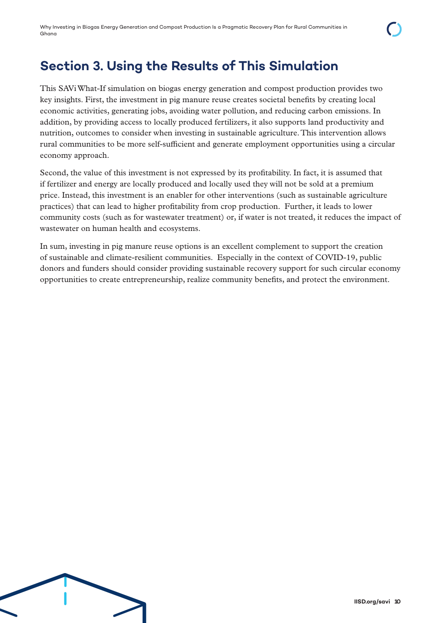# **Section 3. Using the Results of This Simulation**

This SAVi What-If simulation on biogas energy generation and compost production provides two key insights. First, the investment in pig manure reuse creates societal benefits by creating local economic activities, generating jobs, avoiding water pollution, and reducing carbon emissions. In addition, by providing access to locally produced fertilizers, it also supports land productivity and nutrition, outcomes to consider when investing in sustainable agriculture. This intervention allows rural communities to be more self-sufficient and generate employment opportunities using a circular economy approach.

Second, the value of this investment is not expressed by its profitability. In fact, it is assumed that if fertilizer and energy are locally produced and locally used they will not be sold at a premium price. Instead, this investment is an enabler for other interventions (such as sustainable agriculture practices) that can lead to higher profitability from crop production. Further, it leads to lower community costs (such as for wastewater treatment) or, if water is not treated, it reduces the impact of wastewater on human health and ecosystems.

In sum, investing in pig manure reuse options is an excellent complement to support the creation of sustainable and climate-resilient communities. Especially in the context of COVID-19, public donors and funders should consider providing sustainable recovery support for such circular economy opportunities to create entrepreneurship, realize community benefits, and protect the environment.

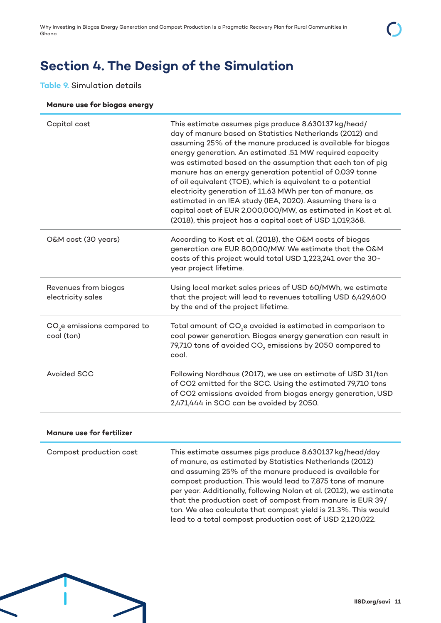# **Section 4. The Design of the Simulation**

## **Table 9.** Simulation details

#### **Manure use for biogas energy**

| Capital cost                                          | This estimate assumes pigs produce 8.630137 kg/head/<br>day of manure based on Statistics Netherlands (2012) and<br>assuming 25% of the manure produced is available for biogas<br>energy generation. An estimated .51 MW required capacity<br>was estimated based on the assumption that each ton of pig<br>manure has an energy generation potential of 0.039 tonne<br>of oil equivalent (TOE), which is equivalent to a potential<br>electricity generation of 11.63 MWh per ton of manure, as<br>estimated in an IEA study (IEA, 2020). Assuming there is a<br>capital cost of EUR 2,000,000/MW, as estimated in Kost et al.<br>(2018), this project has a capital cost of USD 1,019,368. |
|-------------------------------------------------------|-----------------------------------------------------------------------------------------------------------------------------------------------------------------------------------------------------------------------------------------------------------------------------------------------------------------------------------------------------------------------------------------------------------------------------------------------------------------------------------------------------------------------------------------------------------------------------------------------------------------------------------------------------------------------------------------------|
| O&M cost (30 years)                                   | According to Kost et al. (2018), the O&M costs of biogas<br>generation are EUR 80,000/MW. We estimate that the O&M<br>costs of this project would total USD 1,223,241 over the 30-<br>year project lifetime.                                                                                                                                                                                                                                                                                                                                                                                                                                                                                  |
| Revenues from biogas<br>electricity sales             | Using local market sales prices of USD 60/MWh, we estimate<br>that the project will lead to revenues totalling USD 6,429,600<br>by the end of the project lifetime.                                                                                                                                                                                                                                                                                                                                                                                                                                                                                                                           |
| CO <sub>2</sub> e emissions compared to<br>coal (ton) | Total amount of CO <sub>2</sub> e avoided is estimated in comparison to<br>coal power generation. Biogas energy generation can result in<br>79,710 tons of avoided CO <sub>2</sub> emissions by 2050 compared to<br>coal.                                                                                                                                                                                                                                                                                                                                                                                                                                                                     |
| Avoided SCC                                           | Following Nordhaus (2017), we use an estimate of USD 31/ton<br>of CO2 emitted for the SCC. Using the estimated 79,710 tons<br>of CO2 emissions avoided from biogas energy generation, USD<br>2,471,444 in SCC can be avoided by 2050.                                                                                                                                                                                                                                                                                                                                                                                                                                                         |

#### **Manure use for fertilizer**

| Compost production cost | This estimate assumes pigs produce 8.630137 kg/head/day<br>of manure, as estimated by Statistics Netherlands (2012)<br>and assuming 25% of the manure produced is available for<br>compost production. This would lead to 7,875 tons of manure<br>per year. Additionally, following Nolan et al. (2012), we estimate<br>that the production cost of compost from manure is EUR 39/ |
|-------------------------|------------------------------------------------------------------------------------------------------------------------------------------------------------------------------------------------------------------------------------------------------------------------------------------------------------------------------------------------------------------------------------|
|                         | ton. We also calculate that compost yield is 21.3%. This would<br>lead to a total compost production cost of USD 2,120,022.                                                                                                                                                                                                                                                        |

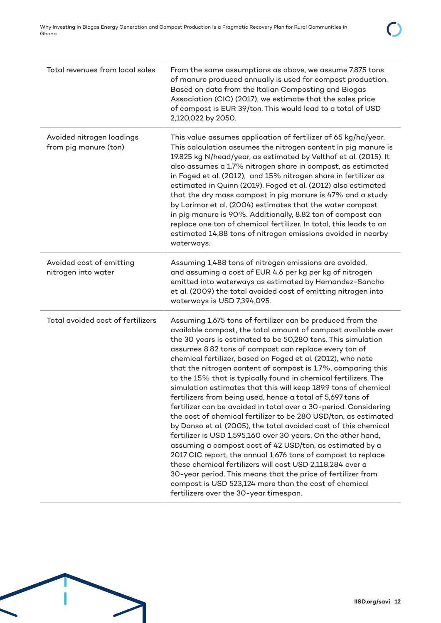| Total revenues from local sales                    | From the same assumptions as above, we assume 7,875 tons<br>of manure produced annually is used for compost production.<br>Based on data from the Italian Composting and Biogas<br>Association (CIC) (2017), we estimate that the sales price<br>of compost is EUR 39/ton. This would lead to a total of USD<br>2,120,022 by 2050.                                                                                                                                                                                                                                                                                                                                                                                                                                                                                                                                                                                                                                                                                                                                                                                                                                                                                              |
|----------------------------------------------------|---------------------------------------------------------------------------------------------------------------------------------------------------------------------------------------------------------------------------------------------------------------------------------------------------------------------------------------------------------------------------------------------------------------------------------------------------------------------------------------------------------------------------------------------------------------------------------------------------------------------------------------------------------------------------------------------------------------------------------------------------------------------------------------------------------------------------------------------------------------------------------------------------------------------------------------------------------------------------------------------------------------------------------------------------------------------------------------------------------------------------------------------------------------------------------------------------------------------------------|
| Avoided nitrogen loadings<br>from pig manure (ton) | This value assumes application of fertilizer of 65 kg/ha/year.<br>This calculation assumes the nitrogen content in pig manure is<br>19.825 kg N/head/year, as estimated by Velthof et al. (2015). It<br>also assumes a 1.7% nitrogen share in compost, as estimated<br>in Foged et al. (2012), and 15% nitrogen share in fertilizer as<br>estimated in Quinn (2019). Foged et al. (2012) also estimated<br>that the dry mass compost in pig manure is 47% and a study<br>by Lorimor et al. (2004) estimates that the water compost<br>in pig manure is 90%. Additionally, 8.82 ton of compost can<br>replace one ton of chemical fertilizer. In total, this leads to an<br>estimated 14,88 tons of nitrogen emissions avoided in nearby<br>waterways.                                                                                                                                                                                                                                                                                                                                                                                                                                                                           |
| Avoided cost of emitting<br>nitrogen into water    | Assuming 1,488 tons of nitrogen emissions are avoided,<br>and assuming a cost of EUR 4.6 per kg per kg of nitrogen<br>emitted into waterways as estimated by Hernandez-Sancho<br>et al. (2009) the total avoided cost of emitting nitrogen into<br>waterways is USD 7,394,095.                                                                                                                                                                                                                                                                                                                                                                                                                                                                                                                                                                                                                                                                                                                                                                                                                                                                                                                                                  |
| Total avoided cost of fertilizers                  | Assuming 1,675 tons of fertilizer can be produced from the<br>available compost, the total amount of compost available over<br>the 30 years is estimated to be 50,280 tons. This simulation<br>assumes 8.82 tons of compost can replace every ton of<br>chemical fertilizer, based on Foged et al. (2012), who note<br>that the nitrogen content of compost is 1.7%, comparing this<br>to the 15% that is typically found in chemical fertilizers. The<br>simulation estimates that this will keep 189.9 tons of chemical<br>fertilizers from being used, hence a total of 5,697 tons of<br>fertilizer can be avoided in total over a 30-period. Considering<br>the cost of chemical fertilizer to be 280 USD/ton, as estimated<br>by Danso et al. (2005), the total avoided cost of this chemical<br>fertilizer is USD 1,595,160 over 30 years. On the other hand,<br>assuming a compost cost of 42 USD/ton, as estimated by a<br>2017 CIC report, the annual 1,676 tons of compost to replace<br>these chemical fertilizers will cost USD 2,118,284 over a<br>30-year period. This means that the price of fertilizer from<br>compost is USD 523,124 more than the cost of chemical<br>fertilizers over the 30-year timespan. |

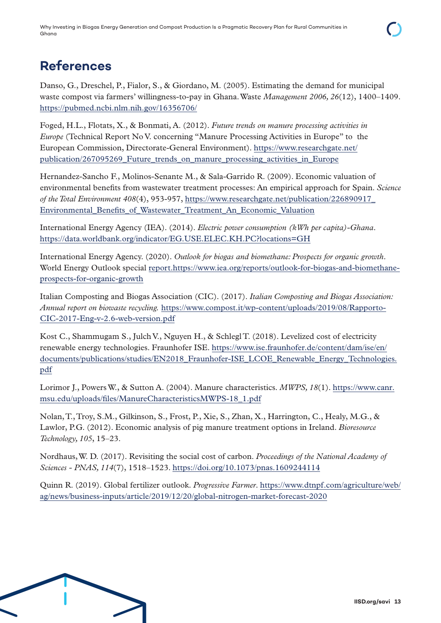# **References**

Danso, G., Dreschel, P., Fialor, S., & Giordano, M. (2005). Estimating the demand for municipal waste compost via farmers' willingness-to-pay in Ghana. Waste *Management 2006, 26*(12), 1400–1409. <https://pubmed.ncbi.nlm.nih.gov/16356706/>

Foged, H.L., Flotats, X., & Bonmati, A. (2012). *Future trends on manure processing activities in Europe* (Technical Report No V. concerning "Manure Processing Activities in Europe" to the European Commission, Directorate-General Environment). [https://www.researchgate.net/](https://www.researchgate.net/publication/267095269_Future_trends_on_manure_processing_activities_in_Europe) publication/267095269 Future trends on manure processing activities in Europe

Hernandez-Sancho F., Molinos-Senante M., & Sala-Garrido R. (2009). Economic valuation of environmental benefits from wastewater treatment processes: An empirical approach for Spain. *Science of the Total Environment 408*(4), 953-957, [https://www.researchgate.net/publication/226890917\\_](https://www.researchgate.net/publication/226890917_Environmental_Benefits_of_Wastewater_Treatment_An_Economic_Valuation) [Environmental\\_Benefits\\_of\\_Wastewater\\_Treatment\\_An\\_Economic\\_Valuation](https://www.researchgate.net/publication/226890917_Environmental_Benefits_of_Wastewater_Treatment_An_Economic_Valuation)

International Energy Agency (IEA). (2014). *Electric power consumption (kWh per capita)-Ghana*. <https://data.worldbank.org/indicator/EG.USE.ELEC.KH.PC?locations=GH>

International Energy Agency. (2020). *Outlook for biogas and biomethane: Prospects for organic growth*. World Energy Outlook special [report.https://www.iea.org/reports/outlook-for-biogas-and-biomethane](report.https://www.iea.org/reports/outlook-for-biogas-and-biomethane-prospects-for-organic-growth)[prospects-for-organic-growth](report.https://www.iea.org/reports/outlook-for-biogas-and-biomethane-prospects-for-organic-growth)

Italian Composting and Biogas Association (CIC). (2017). *Italian Composting and Biogas Association: Annual report on biowaste recycling.* [https://www.compost.it/wp-content/uploads/2019/08/Rapporto-](https://www.compost.it/wp-content/uploads/2019/08/Rapporto-CIC-2017-Eng-v-2.6-web-version.pdf)[CIC-2017-Eng-v-2.6-web-version.pdf](https://www.compost.it/wp-content/uploads/2019/08/Rapporto-CIC-2017-Eng-v-2.6-web-version.pdf)

Kost C., Shammugam S., Julch V., Nguyen H., & Schlegl T. (2018). Levelized cost of electricity renewable energy technologies. Fraunhofer ISE. [https://www.ise.fraunhofer.de/content/dam/ise/en/](https://www.ise.fraunhofer.de/content/dam/ise/en/documents/publications/studies/EN2018_Fraunhofer-ISE_LCOE_Renewable_Energy_Technologies.pdf) [documents/publications/studies/EN2018\\_Fraunhofer-ISE\\_LCOE\\_Renewable\\_Energy\\_Technologies.](https://www.ise.fraunhofer.de/content/dam/ise/en/documents/publications/studies/EN2018_Fraunhofer-ISE_LCOE_Renewable_Energy_Technologies.pdf) [pdf](https://www.ise.fraunhofer.de/content/dam/ise/en/documents/publications/studies/EN2018_Fraunhofer-ISE_LCOE_Renewable_Energy_Technologies.pdf)

Lorimor J., Powers W., & Sutton A. (2004). Manure characteristics. *MWPS, 18*(1). [https://www.canr.](https://www.canr.msu.edu/uploads/files/ManureCharacteristicsMWPS-18_1.pdf) [msu.edu/uploads/files/ManureCharacteristicsMWPS-18\\_1.pdf](https://www.canr.msu.edu/uploads/files/ManureCharacteristicsMWPS-18_1.pdf)

Nolan, T., Troy, S.M., Gilkinson, S., Frost, P., Xie, S., Zhan, X., Harrington, C., Healy, M.G., & Lawlor, P.G. (2012). Economic analysis of pig manure treatment options in Ireland. *Bioresource Technology, 105*, 15–23.

Nordhaus, W. D. (2017). Revisiting the social cost of carbon. *Proceedings of the National Academy of Sciences - PNAS, 114*(7), 1518–1523.<https://doi.org/10.1073/pnas.1609244114>

Quinn R. (2019). Global fertilizer outlook. *Progressive Farmer*. [https://www.dtnpf.com/agriculture/web/](https://www.dtnpf.com/agriculture/web/ag/news/business-inputs/article/2019/12/20/global-nitrogen-market-forecast-2020) [ag/news/business-inputs/article/2019/12/20/global-nitrogen-market-forecast-2020](https://www.dtnpf.com/agriculture/web/ag/news/business-inputs/article/2019/12/20/global-nitrogen-market-forecast-2020)